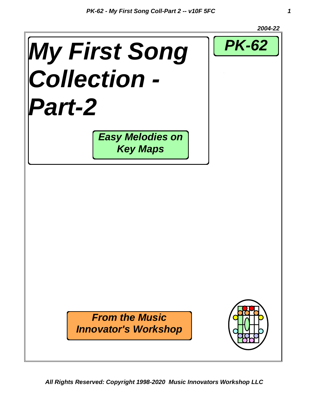

*All Rights Reserved: Copyright 1998-2020 Music Innovators Workshop LLC*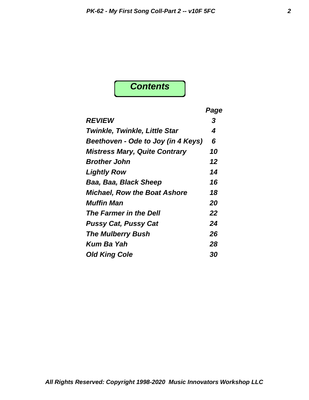### *Contents*

|                                      | Page |
|--------------------------------------|------|
| <b>REVIEW</b>                        | 3    |
| <b>Twinkle, Twinkle, Little Star</b> | 4    |
| Beethoven - Ode to Joy (in 4 Keys)   | 6    |
| <b>Mistress Mary, Quite Contrary</b> | 10   |
| <b>Brother John</b>                  | 12   |
| <b>Lightly Row</b>                   | 14   |
| Baa, Baa, Black Sheep                | 16   |
| <b>Michael, Row the Boat Ashore</b>  | 18   |
| <i><b>Muffin Man</b></i>             | 20   |
| The Farmer in the Dell               | 22   |
| <b>Pussy Cat, Pussy Cat</b>          | 24   |
| <b>The Mulberry Bush</b>             | 26   |
| Kum Ba Yah                           | 28   |
| <b>Old King Cole</b>                 | 30   |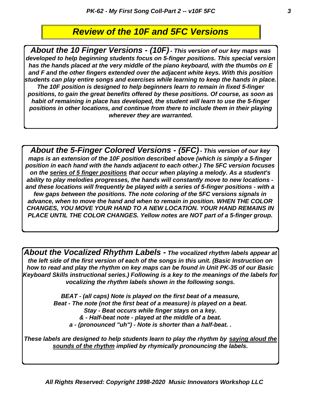#### *Review of the 10F and 5FC Versions*

*About the 10 Finger Versions - (10F) - This version of our key maps was developed to help beginning students focus on 5-finger positions. This special version has the hands placed at the very middle of the piano keyboard, with the thumbs on E and F and the other fingers extended over the adjacent white keys. With this position students can play entire songs and exercises while learning to keep the hands in place. The 10F position is designed to help beginners learn to remain in fixed 5-finger positions, to gain the great benefits offered by these positions. Of course, as soon as habit of remaining in place has developed, the student will learn to use the 5-finger positions in other locations, and continue from there to include them in their playing wherever they are warranted.*

*About the 5-Finger Colored Versions - (5FC) - This version of our key maps is an extension of the 10F position described above (which is simply a 5-finger position in each hand with the hands adjacent to each other.) The 5FC version focuses on the series of 5 finger positions that occur when playing a melody. As a student's ability to play melodies progresses, the hands will constantly move to new locations and these locations will frequently be played with a series of 5-finger positions - with a few gaps between the positions. The note coloring of the 5FC versions signals in advance, when to move the hand and when to remain in position. WHEN THE COLOR CHANGES, YOU MOVE YOUR HAND TO A NEW LOCATION. YOUR HAND REMAINS IN PLACE UNTIL THE COLOR CHANGES. Yellow notes are NOT part of a 5-finger group.*

*About the Vocalized Rhythm Labels - The vocalized rhythm labels appear at the left side of the first version of each of the songs in this unit. (Basic Instruction on how to read and play the rhythm on key maps can be found in Unit PK-35 of our Basic Keyboard Skills instructional series.) Following is a key to the meanings of the labels for vocalizing the rhythm labels shown in the following songs.*

> *BEAT - (all caps) Note is played on the first beat of a measure, Beat - The note (not the first beat of a measure) is played on a beat. Stay - Beat occurs while finger stays on a key. & - Half-beat note - played at the middle of a beat. a - (pronounced "uh") - Note is shorter than a half-beat. .*

*These labels are designed to help students learn to play the rhythm by saying aloud the sounds of the rhythm implied by rhymically pronouncing the labels.*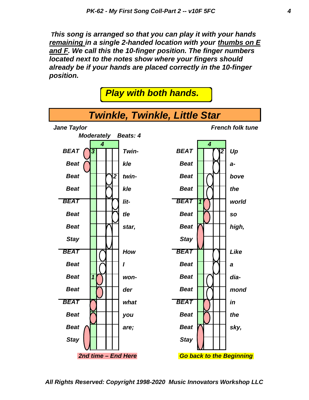*This song is arranged so that you can play it with your hands remaining in a single 2-handed location with your thumbs on E and F. We call this the 10-finger position. The finger numbers located next to the notes show where your fingers should already be if your hands are placed correctly in the 10-finger position.*

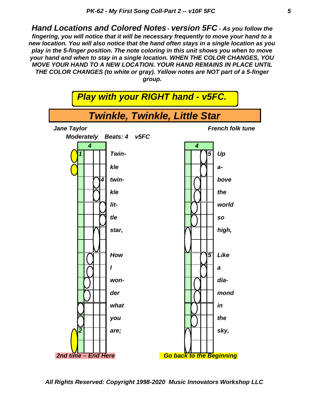*Hand Locations and Colored Notes - version 5FC - As you follow the fingering, you will notice that it will be necessary frequently to move your hand to a new location. You will also notice that the hand often stays in a single location as you play in the 5-finger position. The note coloring in this unit shows you when to move your hand and when to stay in a single location. WHEN THE COLOR CHANGES, YOU MOVE YOUR HAND TO A NEW LOCATION. YOUR HAND REMAINS IN PLACE UNTIL THE COLOR CHANGES (to white or gray). Yellow notes are NOT part of a 5-finger group.*



*All Rights Reserved: Copyright 1998-2020 Music Innovators Workshop LLC*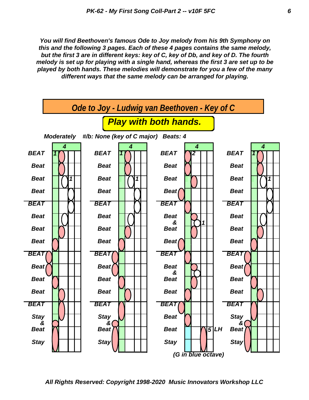*You will find Beethoven's famous Ode to Joy melody from his 9th Symphony on this and the following 3 pages. Each of these 4 pages contains the same melody, but the first 3 are in different keys: key of C, key of Db, and key of D. The fourth melody is set up for playing with a single hand, whereas the first 3 are set up to be played by both hands. These melodies will demonstrate for you a few of the many different ways that the same melody can be arranged for playing.*

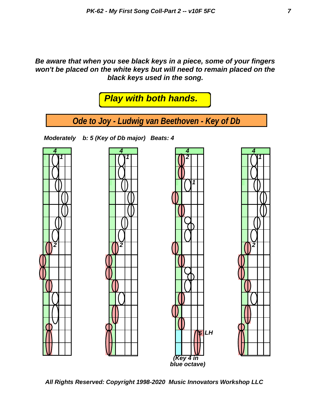*Be aware that when you see black keys in a piece, some of your fingers won't be placed on the white keys but will need to remain placed on the black keys used in the song.*



*All Rights Reserved: Copyright 1998-2020 Music Innovators Workshop LLC*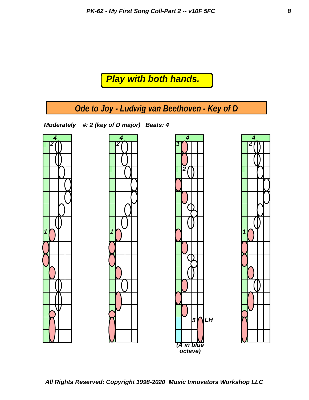#### *Play with both hands.*

*Ode to Joy - Ludwig van Beethoven - Key of D*

*Moderately #: 2 (key of D major) Beats: 4* 







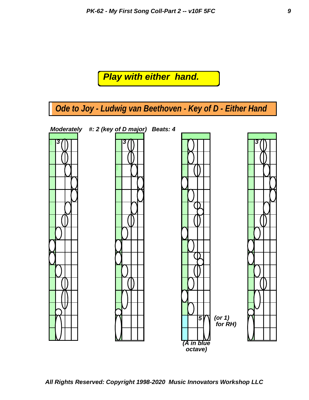### *Play with either hand.*

*Ode to Joy - Ludwig van Beethoven - Key of D - Either Hand*

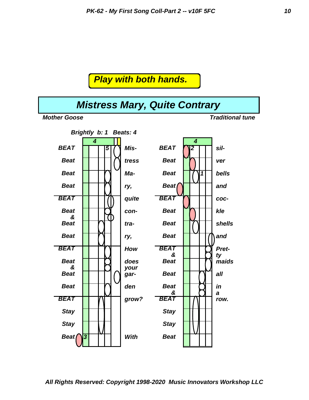

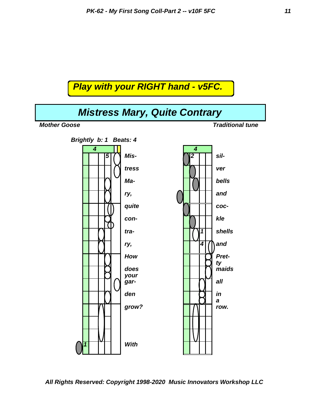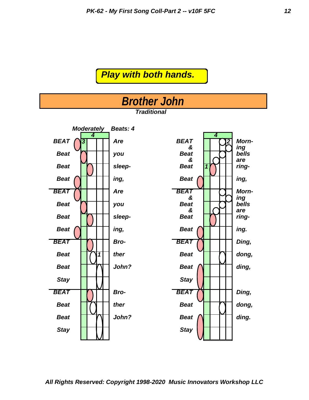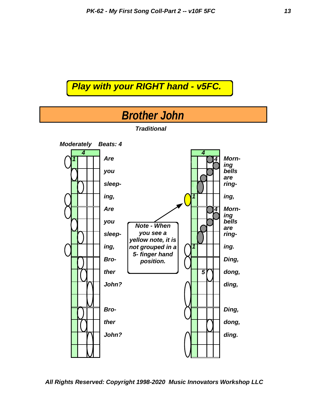

*All Rights Reserved: Copyright 1998-2020 Music Innovators Workshop LLC*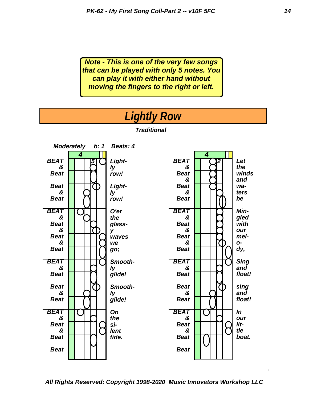*Note - This is one of the very few songs that can be played with only 5 notes. You can play it with either hand without moving the fingers to the right or left.*

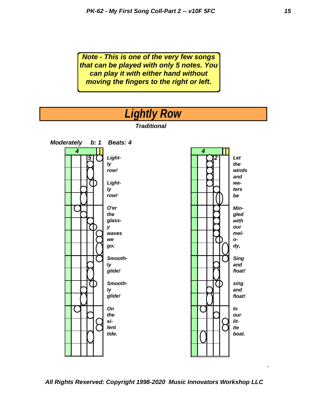*Note - This is one of the very few songs that can be played with only 5 notes. You can play it with either hand without moving the fingers to the right or left.*



#### *All Rights Reserved: Copyright 1998-2020 Music Innovators Workshop LLC*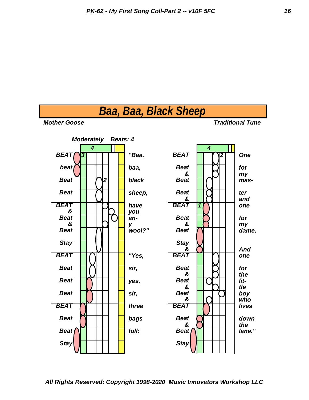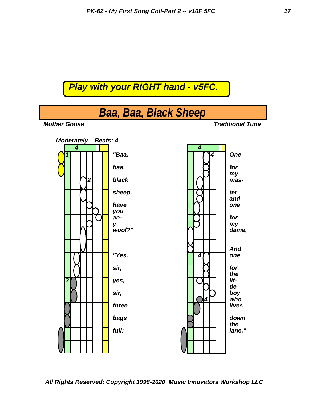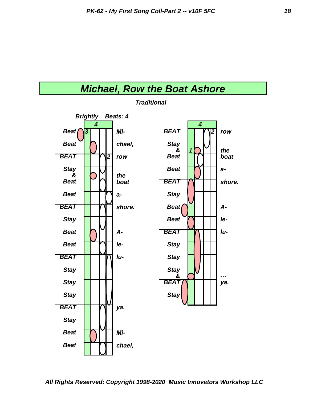



*Traditional*

*All Rights Reserved: Copyright 1998-2020 Music Innovators Workshop LLC*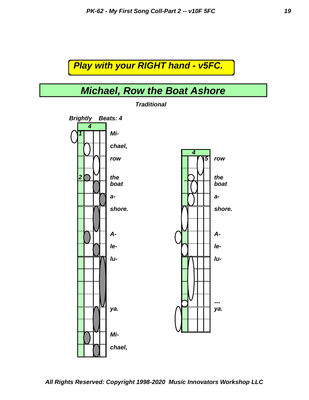### *Michael, Row the Boat Ashore*



*Traditional*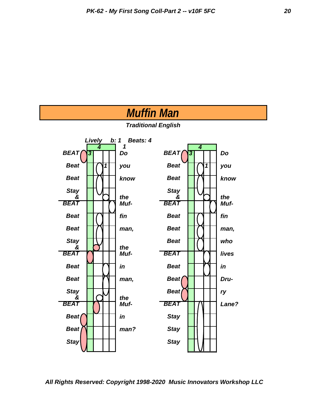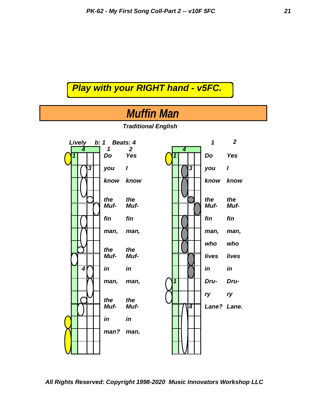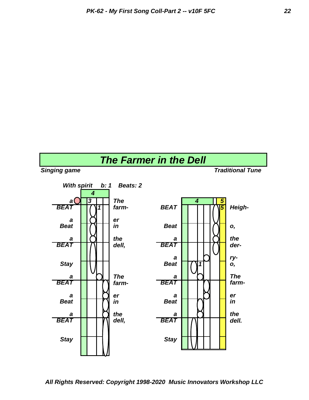# *The Farmer in the Dell*

*With spirit b: 1 Beats: 2 4 a* **1** 3 *The* **6 1** *4* **1 5** *BEAT* **17 11** *farm- BEAT* **11 17 5** *Heigh-* $\begin{array}{|c|c|c|}\n\hline\na & \text{R} & \text{er} \\
\hline\n\end{array}$ *Beat in Beat* **in** *Beat* **i i** *o*, *a* **d** 1 *the a a* 1 1 1 1 *the BEAT dell, BEAT der-* $\begin{array}{|c|c|c|c|c|} \hline a & D & F' \\ \hline \end{array}$  *ry-***Stay 11 11 Beat 1711 0**, *a The a The BEAT farm- BEAT farma* **e b** *er* **a e b a e b e e b e b e b e b e b e b e b e b e b e b e b e b e b e b e b e b e b e b e b e b e b e b Beat iii** *in Beat* **iiii** *in* **a the a i** *a**the BEAT dell, BEAT dell. Stay Stay*

*All Rights Reserved: Copyright 1998-2020 Music Innovators Workshop LLC*

#### *Singing game Traditional Tune*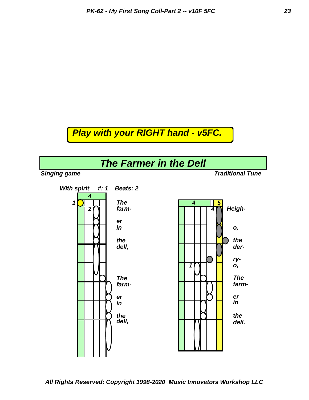

*All Rights Reserved: Copyright 1998-2020 Music Innovators Workshop LLC*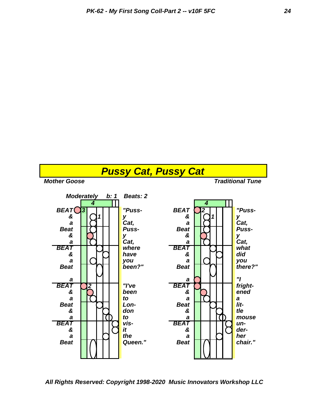

*All Rights Reserved: Copyright 1998-2020 Music Innovators Workshop LLC*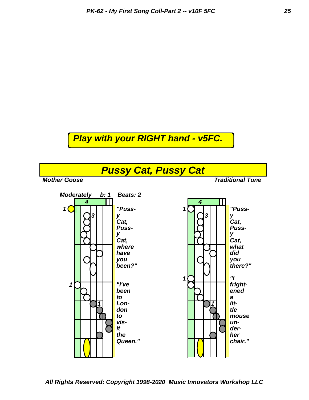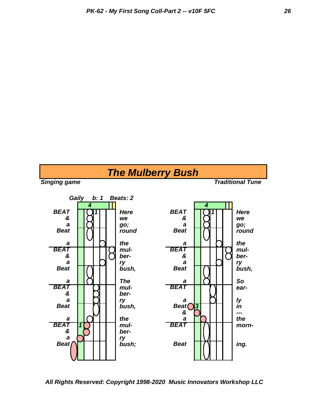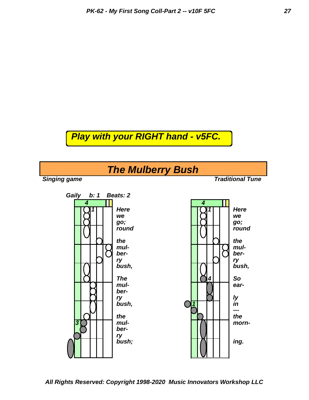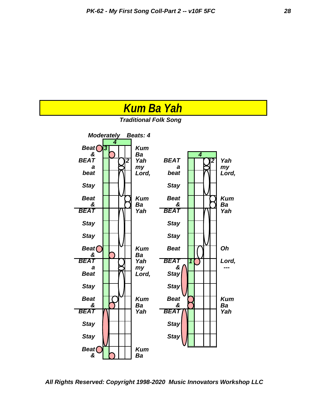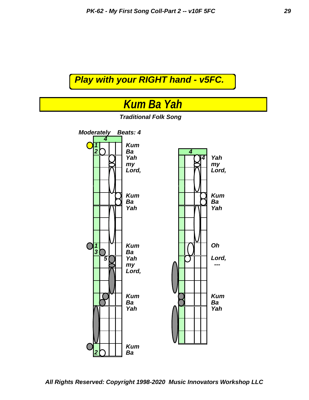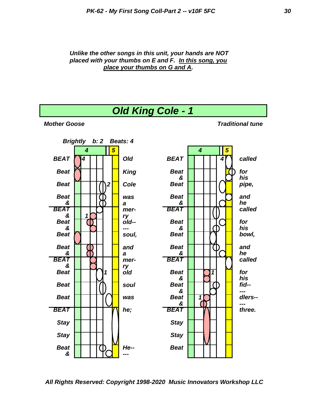#### *Unlike the other songs in this unit, your hands are NOT placed with your thumbs on E and F. In this song, you place your thumbs on G and A.*

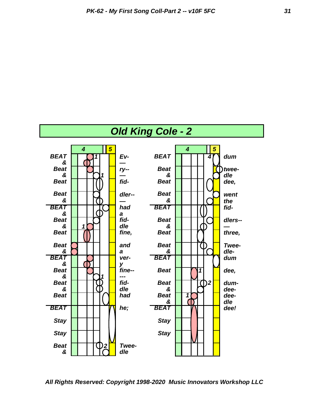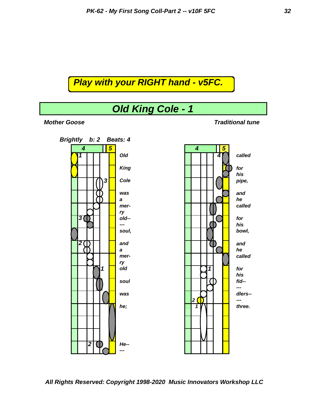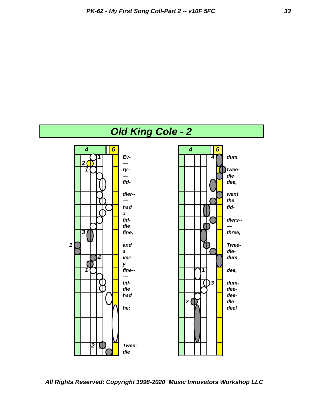